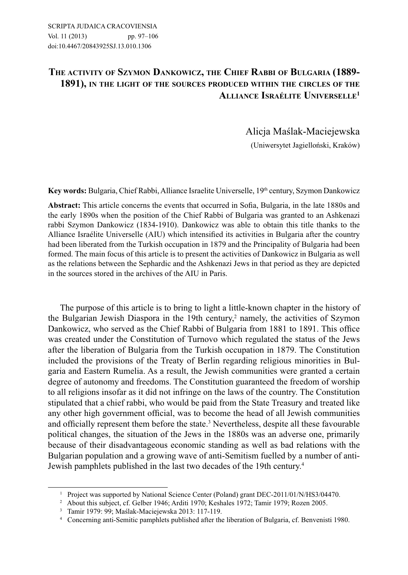## **THE ACTIVITY OF SZYMON DANKOWICZ, THE CHIEF RABBI OF BULGARIA (1889- 1891), IN THE LIGHT OF THE SOURCES PRODUCED WITHIN THE CIRCLES OF THE ALLIANCE ISRAÉLITE UNIVERSELLE1**

Alicja Maślak-Maciejewska (Uniwersytet Jagielloński, Kraków)

Key words: Bulgaria, Chief Rabbi, Alliance Israelite Universelle, 19<sup>th</sup> century, Szymon Dankowicz

**Abstract:** This article concerns the events that occurred in Sofia, Bulgaria, in the late 1880s and the early 1890s when the position of the Chief Rabbi of Bulgaria was granted to an Ashkenazi rabbi Szymon Dankowicz (1834-1910). Dankowicz was able to obtain this title thanks to the Alliance Israélite Universelle (AIU) which intensified its activities in Bulgaria after the country had been liberated from the Turkish occupation in 1879 and the Principality of Bulgaria had been formed. The main focus of this article is to present the activities of Dankowicz in Bulgaria as well as the relations between the Sephardic and the Ashkenazi Jews in that period as they are depicted in the sources stored in the archives of the AIU in Paris.

The purpose of this article is to bring to light a little-known chapter in the history of the Bulgarian Jewish Diaspora in the 19th century,<sup>2</sup> namely, the activities of Szymon Dankowicz, who served as the Chief Rabbi of Bulgaria from 1881 to 1891. This office was created under the Constitution of Turnovo which regulated the status of the Jews after the liberation of Bulgaria from the Turkish occupation in 1879. The Constitution included the provisions of the Treaty of Berlin regarding religious minorities in Bulgaria and Eastern Rumelia. As a result, the Jewish communities were granted a certain degree of autonomy and freedoms. The Constitution guaranteed the freedom of worship to all religions insofar as it did not infringe on the laws of the country. The Constitution stipulated that a chief rabbi, who would be paid from the State Treasury and treated like any other high government official, was to become the head of all Jewish communities and officially represent them before the state.3 Nevertheless, despite all these favourable political changes, the situation of the Jews in the 1880s was an adverse one, primarily because of their disadvantageous economic standing as well as bad relations with the Bulgarian population and a growing wave of anti-Semitism fuelled by a number of anti-Jewish pamphlets published in the last two decades of the 19th century.4

<sup>&</sup>lt;sup>1</sup> Project was supported by National Science Center (Poland) grant DEC-2011/01/N/HS3/04470.

<sup>2</sup> About this subject, cf. Gelber 1946; Arditi 1970; Keshales 1972; Tamir 1979; Rozen 2005.

<sup>3</sup> Tamir 1979 : 99; Maślak-Maciejewska 2013: 117-119.

<sup>4</sup> Concerning anti-Semitic pamphlets published after the liberation of Bulgaria, cf. Benvenisti 1980.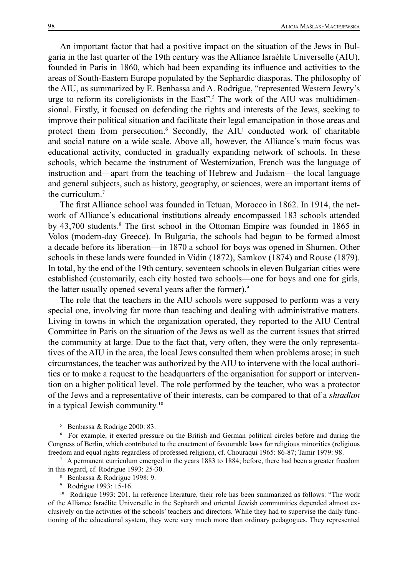An important factor that had a positive impact on the situation of the Jews in Bulgaria in the last quarter of the 19th century was the Alliance Israélite Universelle (AIU), founded in Paris in 1860, which had been expanding its influence and activities to the areas of South-Eastern Europe populated by the Sephardic diasporas. The philosophy of the AIU, as summarized by E. Benbassa and A. Rodrigue, "represented Western Jewry's urge to reform its coreligionists in the East".<sup>5</sup> The work of the AIU was multidimensional. Firstly, it focused on defending the rights and interests of the Jews, seeking to improve their political situation and facilitate their legal emancipation in those areas and protect them from persecution.6 Secondly, the AIU conducted work of charitable and social nature on a wide scale. Above all, however, the Alliance's main focus was educational activity, conducted in gradually expanding network of schools. In these schools, which became the instrument of Westernization, French was the language of instruction and—apart from the teaching of Hebrew and Judaism—the local language and general subjects, such as history, geography, or sciences, were an important items of the curriculum.7

The first Alliance school was founded in Tetuan, Morocco in 1862. In 1914, the network of Alliance's educational institutions already encompassed 183 schools attended by 43,700 students.<sup>8</sup> The first school in the Ottoman Empire was founded in 1865 in Volos (modern-day Greece). In Bulgaria, the schools had began to be formed almost a decade before its liberation—in 1870 a school for boys was opened in Shumen. Other schools in these lands were founded in Vidin (1872), Samkov (1874) and Rouse (1879). In total, by the end of the 19th century, seventeen schools in eleven Bulgarian cities were established (customarily, each city hosted two schools—one for boys and one for girls, the latter usually opened several years after the former).<sup>9</sup>

The role that the teachers in the AIU schools were supposed to perform was a very special one, involving far more than teaching and dealing with administrative matters. Living in towns in which the organization operated, they reported to the AIU Central Committee in Paris on the situation of the Jews as well as the current issues that stirred the community at large. Due to the fact that, very often, they were the only representatives of the AIU in the area, the local Jews consulted them when problems arose; in such circumstances, the teacher was authorized by the AIU to intervene with the local authorities or to make a request to the headquarters of the organisation for support or intervention on a higher political level. The role performed by the teacher, who was a protector of the Jews and a representative of their interests, can be compared to that of a *shtadlan* in a typical Jewish community.10

<sup>5</sup> Benbassa & Rodrige 2000: 83.

<sup>6</sup> For example, it exerted pressure on the British and German political circles before and during the Congress of Berlin, which contributed to the enactment of favourable laws for religious minorities (religious freedom and equal rights regardless of professed religion), cf. Chouraqui 1965: 86-87; Tamir 1979: 98.

<sup>7</sup> A permanent curriculum emerged in the years 1883 to 1884; before, there had been a greater freedom in this regard, cf. Rodrigue 1993: 25-30.

<sup>8</sup> Benbassa & Rodrigue 1998: 9.

<sup>9</sup> Rodrigue 1993: 15-16.

<sup>&</sup>lt;sup>10</sup> Rodrigue 1993: 201. In reference literature, their role has been summarized as follows: "The work of the Alliance Israélite Universelle in the Sephardi and oriental Jewish communities depended almost exclusively on the activities of the schools' teachers and directors. While they had to supervise the daily functioning of the educational system, they were very much more than ordinary pedagogues. They represented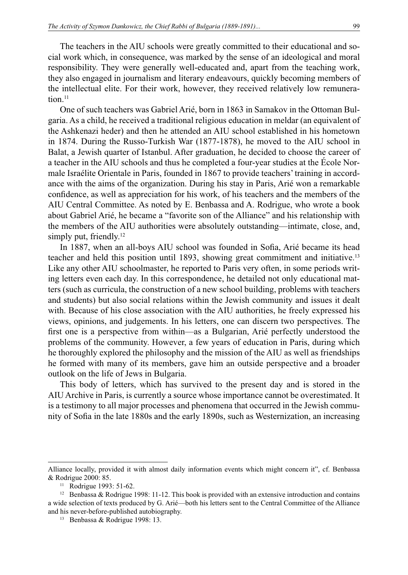The teachers in the AIU schools were greatly committed to their educational and social work which, in consequence, was marked by the sense of an ideological and moral responsibility. They were generally well-educated and, apart from the teaching work, they also engaged in journalism and literary endeavours, quickly becoming members of the intellectual elite. For their work, however, they received relatively low remuneration<sup>11</sup>

One of such teachers was Gabriel Arié, born in 1863 in Samakov in the Ottoman Bulgaria. As a child, he received a traditional religious education in meldar (an equivalent of the Ashkenazi heder) and then he attended an AIU school established in his hometown in 1874. During the Russo-Turkish War (1877-1878), he moved to the AIU school in Balat, a Jewish quarter of Istanbul. After graduation, he decided to choose the career of a teacher in the AIU schools and thus he completed a four-year studies at the École Normale Israélite Orientale in Paris, founded in 1867 to provide teachers' training in accordance with the aims of the organization. During his stay in Paris, Arié won a remarkable confidence, as well as appreciation for his work, of his teachers and the members of the AIU Central Committee. As noted by E. Benbassa and A. Rodrigue, who wrote a book about Gabriel Arié, he became a "favorite son of the Alliance" and his relationship with the members of the AIU authorities were absolutely outstanding—intimate, close, and, simply put, friendly.<sup>12</sup>

In 1887, when an all-boys AIU school was founded in Sofia, Arié became its head teacher and held this position until 1893, showing great commitment and initiative.13 Like any other AIU schoolmaster, he reported to Paris very often, in some periods writing letters even each day. In this correspondence, he detailed not only educational matters (such as curricula, the construction of a new school building, problems with teachers and students) but also social relations within the Jewish community and issues it dealt with. Because of his close association with the AIU authorities, he freely expressed his views, opinions, and judgements. In his letters, one can discern two perspectives. The first one is a perspective from within—as a Bulgarian, Arié perfectly understood the problems of the community. However, a few years of education in Paris, during which he thoroughly explored the philosophy and the mission of the AIU as well as friendships he formed with many of its members, gave him an outside perspective and a broader outlook on the life of Jews in Bulgaria.

This body of letters, which has survived to the present day and is stored in the AIU Archive in Paris, is currently a source whose importance cannot be overestimated. It is a testimony to all major processes and phenomena that occurred in the Jewish community of Sofia in the late 1880s and the early 1890s, such as Westernization, an increasing

Alliance locally, provided it with almost daily information events which might concern it", cf. Benbassa & Rodrigue 2000: 85.

<sup>&</sup>lt;sup>11</sup> Rodrigue 1993: 51-62.

<sup>&</sup>lt;sup>12</sup> Benbassa & Rodrigue 1998: 11-12. This book is provided with an extensive introduction and contains a wide selection of texts produced by G. Arié—both his letters sent to the Central Committee of the Alliance and his never-before-published autobiography.

<sup>13</sup> Benbassa & Rodrigue 1998: 13.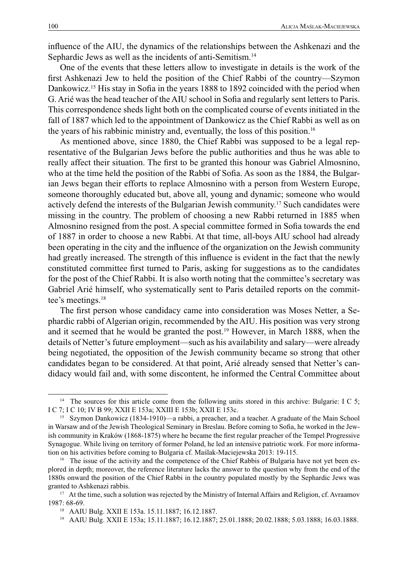influence of the AIU, the dynamics of the relationships between the Ashkenazi and the Sephardic Jews as well as the incidents of anti-Semitism.<sup>14</sup>

One of the events that these letters allow to investigate in details is the work of the first Ashkenazi Jew to held the position of the Chief Rabbi of the country—Szymon Dankowicz.<sup>15</sup> His stay in Sofia in the years 1888 to 1892 coincided with the period when G. Arié was the head teacher of the AIU school in Sofia and regularly sent letters to Paris. This correspondence sheds light both on the complicated course of events initiated in the fall of 1887 which led to the appointment of Dankowicz as the Chief Rabbi as well as on the years of his rabbinic ministry and, eventually, the loss of this position.16

As mentioned above, since 1880, the Chief Rabbi was supposed to be a legal representative of the Bulgarian Jews before the public authorities and thus he was able to really affect their situation. The first to be granted this honour was Gabriel Almosnino, who at the time held the position of the Rabbi of Sofia. As soon as the 1884, the Bulgarian Jews began their efforts to replace Almosnino with a person from Western Europe, someone thoroughly educated but, above all, young and dynamic; someone who would actively defend the interests of the Bulgarian Jewish community.<sup>17</sup> Such candidates were missing in the country. The problem of choosing a new Rabbi returned in 1885 when Almosnino resigned from the post. A special committee formed in Sofia towards the end of 1887 in order to choose a new Rabbi. At that time, all-boys AIU school had already been operating in the city and the influence of the organization on the Jewish community had greatly increased. The strength of this influence is evident in the fact that the newly constituted committee first turned to Paris, asking for suggestions as to the candidates for the post of the Chief Rabbi. It is also worth noting that the committee's secretary was Gabriel Arié himself, who systematically sent to Paris detailed reports on the committee's meetings.18

The first person whose candidacy came into consideration was Moses Netter, a Sephardic rabbi of Algerian origin, recommended by the AIU. His position was very strong and it seemed that he would be granted the post.19 However, in March 1888, when the details of Netter's future employment—such as his availability and salary—were already being negotiated, the opposition of the Jewish community became so strong that other candidates began to be considered. At that point, Arié already sensed that Netter's candidacy would fail and, with some discontent, he informed the Central Committee about

<sup>&</sup>lt;sup>14</sup> The sources for this article come from the following units stored in this archive: Bulgarie: I C 5; I C 7; I C 10; IV B 99; XXII E 153a; XXIII E 153b; XXII E 153c.

<sup>&</sup>lt;sup>15</sup> Szymon Dankowicz (1834-1910)—a rabbi, a preacher, and a teacher. A graduate of the Main School in Warsaw and of the Jewish Theological Seminary in Breslau. Before coming to Sofia, he worked in the Jewish community in Kraków (1868-1875) where he became the first regular preacher of the Tempel Progressive Synagogue. While living on territory of former Poland, he led an intensive patriotic work. For more information on his activities before coming to Bulgaria cf. Maślak-Maciejewska 2013: 19-115.

<sup>&</sup>lt;sup>16</sup> The issue of the activity and the competence of the Chief Rabbis of Bulgaria have not yet been explored in depth; moreover, the reference literature lacks the answer to the question why from the end of the 1880s onward the position of the Chief Rabbi in the country populated mostly by the Sephardic Jews was granted to Ashkenazi rabbis.

<sup>&</sup>lt;sup>17</sup> At the time, such a solution was rejected by the Ministry of Internal Affairs and Religion, cf. Avraamov 1987: 68-69.

<sup>18</sup> AAIU Bulg. XXII E 153a. 15.11.1887; 16.12.1887.

<sup>19</sup> AAIU Bulg. XXII E 153a; 15.11.1887; 16.12.1887; 25.01.1888; 20.02.1888; 5.03.1888; 16.03.1888.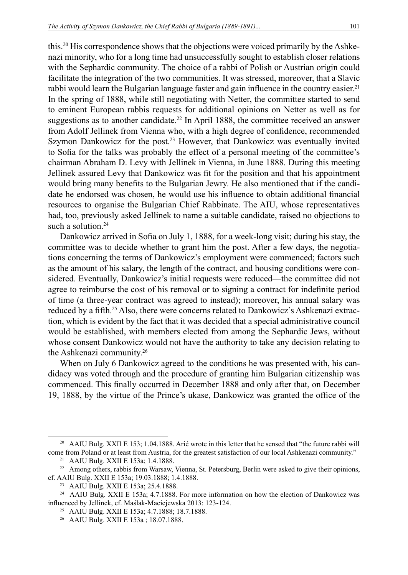this.<sup>20</sup> His correspondence shows that the objections were voiced primarily by the Ashkenazi minority, who for a long time had unsuccessfully sought to establish closer relations with the Sephardic community. The choice of a rabbi of Polish or Austrian origin could facilitate the integration of the two communities. It was stressed, moreover, that a Slavic rabbi would learn the Bulgarian language faster and gain influence in the country easier.<sup>21</sup> In the spring of 1888, while still negotiating with Netter, the committee started to send to eminent European rabbis requests for additional opinions on Netter as well as for suggestions as to another candidate.<sup>22</sup> In April 1888, the committee received an answer from Adolf Jellinek from Vienna who, with a high degree of confidence, recommended Szymon Dankowicz for the post.<sup>23</sup> However, that Dankowicz was eventually invited to Sofia for the talks was probably the effect of a personal meeting of the committee's chairman Abraham D. Levy with Jellinek in Vienna, in June 1888. During this meeting Jellinek assured Levy that Dankowicz was fit for the position and that his appointment would bring many benefits to the Bulgarian Jewry. He also mentioned that if the candidate he endorsed was chosen, he would use his influence to obtain additional financial resources to organise the Bulgarian Chief Rabbinate. The AIU, whose representatives had, too, previously asked Jellinek to name a suitable candidate, raised no objections to such a solution.<sup>24</sup>

Dankowicz arrived in Sofia on July 1, 1888, for a week-long visit; during his stay, the committee was to decide whether to grant him the post. After a few days, the negotiations concerning the terms of Dankowicz's employment were commenced; factors such as the amount of his salary, the length of the contract, and housing conditions were considered. Eventually, Dankowicz's initial requests were reduced—the committee did not agree to reimburse the cost of his removal or to signing a contract for indefinite period of time (a three-year contract was agreed to instead); moreover, his annual salary was reduced by a fifth.25 Also, there were concerns related to Dankowicz's Ashkenazi extraction, which is evident by the fact that it was decided that a special administrative council would be established, with members elected from among the Sephardic Jews, without whose consent Dankowicz would not have the authority to take any decision relating to the Ashkenazi community.26

When on July 6 Dankowicz agreed to the conditions he was presented with, his candidacy was voted through and the procedure of granting him Bulgarian citizenship was commenced. This finally occurred in December 1888 and only after that, on December 19, 1888, by the virtue of the Prince's ukase, Dankowicz was granted the office of the

<sup>&</sup>lt;sup>20</sup> AAIU Bulg. XXII E 153; 1.04.1888. Arié wrote in this letter that he sensed that "the future rabbi will come from Poland or at least from Austria, for the greatest satisfaction of our local Ashkenazi community."

<sup>21</sup> AAIU Bulg. XXII E 153a; 1.4.1888.

<sup>&</sup>lt;sup>22</sup> Among others, rabbis from Warsaw, Vienna, St. Petersburg, Berlin were asked to give their opinions, cf. AAIU Bulg. XXII E 153a; 19.03.1888; 1.4.1888.

<sup>23</sup> AAIU Bulg. XXII E 153a; 25.4.1888.

<sup>24</sup> AAIU Bulg. XXII E 153a; 4.7.1888. For more information on how the election of Dankowicz was influenced by Jellinek, cf. Maślak-Maciejewska 2013: 123-124.

<sup>25</sup> AAIU Bulg. XXII E 153a; 4.7.1888; 18.7.1888.

<sup>26</sup> AAIU Bulg. XXII E 153a ; 18.07.1888.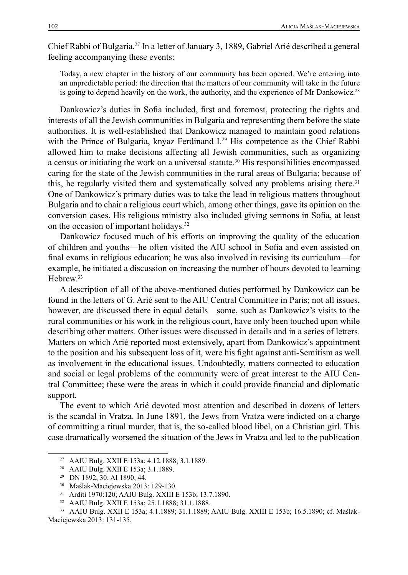Chief Rabbi of Bulgaria.27 In a letter of January 3, 1889, Gabriel Arié described a general feeling accompanying these events:

Today, a new chapter in the history of our community has been opened. We're entering into an unpredictable period: the direction that the matters of our community will take in the future is going to depend heavily on the work, the authority, and the experience of Mr Dankowicz.<sup>28</sup>

Dankowicz's duties in Sofia included, first and foremost, protecting the rights and interests of all the Jewish communities in Bulgaria and representing them before the state authorities. It is well-established that Dankowicz managed to maintain good relations with the Prince of Bulgaria, knyaz Ferdinand I.<sup>29</sup> His competence as the Chief Rabbi allowed him to make decisions affecting all Jewish communities, such as organizing a census or initiating the work on a universal statute.30 His responsibilities encompassed caring for the state of the Jewish communities in the rural areas of Bulgaria; because of this, he regularly visited them and systematically solved any problems arising there.<sup>31</sup> One of Dankowicz's primary duties was to take the lead in religious matters throughout Bulgaria and to chair a religious court which, among other things, gave its opinion on the conversion cases. His religious ministry also included giving sermons in Sofia, at least on the occasion of important holidays.32

Dankowicz focused much of his efforts on improving the quality of the education of children and youths—he often visited the AIU school in Sofia and even assisted on final exams in religious education; he was also involved in revising its curriculum—for example, he initiated a discussion on increasing the number of hours devoted to learning Hebrew.33

A description of all of the above-mentioned duties performed by Dankowicz can be found in the letters of G. Arié sent to the AIU Central Committee in Paris; not all issues, however, are discussed there in equal details—some, such as Dankowicz's visits to the rural communities or his work in the religious court, have only been touched upon while describing other matters. Other issues were discussed in details and in a series of letters. Matters on which Arié reported most extensively, apart from Dankowicz's appointment to the position and his subsequent loss of it, were his fight against anti-Semitism as well as involvement in the educational issues. Undoubtedly, matters connected to education and social or legal problems of the community were of great interest to the AIU Central Committee; these were the areas in which it could provide financial and diplomatic support.

The event to which Arié devoted most attention and described in dozens of letters is the scandal in Vratza. In June 1891, the Jews from Vratza were indicted on a charge of committing a ritual murder, that is, the so-called blood libel, on a Christian girl. This case dramatically worsened the situation of the Jews in Vratza and led to the publication

<sup>27</sup> AAIU Bulg. XXII E 153a; 4.12.1888; 3.1.1889.

<sup>28</sup> AAIU Bulg. XXII E 153a; 3.1.1889.

<sup>29</sup> DN 1892, 30; AI 1890, 44.

<sup>30</sup> Maślak-Maciejewska 2013: 129-130.

<sup>31</sup> Arditi 1970:120; AAIU Bulg. XXIII E 153b; 13.7.1890.

<sup>32</sup> AAIU Bulg. XXII E 153a; 25.1.1888; 31.1.1888.

<sup>33</sup> AAIU Bulg. XXII E 153a; 4.1.1889; 31.1.1889; AAIU Bulg. XXIII E 153b; 16.5.1890; cf. Maślak-Maciejewska 2013: 131-135.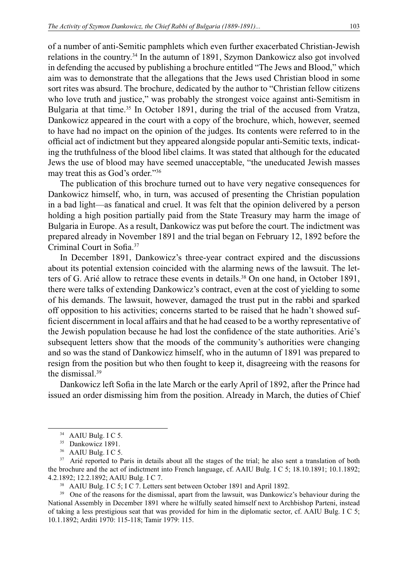of a number of anti-Semitic pamphlets which even further exacerbated Christian-Jewish relations in the country.34 In the autumn of 1891, Szymon Dankowicz also got involved in defending the accused by publishing a brochure entitled "The Jews and Blood," which aim was to demonstrate that the allegations that the Jews used Christian blood in some sort rites was absurd. The brochure, dedicated by the author to "Christian fellow citizens who love truth and justice," was probably the strongest voice against anti-Semitism in Bulgaria at that time.<sup>35</sup> In October 1891, during the trial of the accused from Vratza, Dankowicz appeared in the court with a copy of the brochure, which, however, seemed to have had no impact on the opinion of the judges. Its contents were referred to in the official act of indictment but they appeared alongside popular anti-Semitic texts, indicating the truthfulness of the blood libel claims. It was stated that although for the educated Jews the use of blood may have seemed unacceptable, "the uneducated Jewish masses may treat this as God's order."36

The publication of this brochure turned out to have very negative consequences for Dankowicz himself, who, in turn, was accused of presenting the Christian population in a bad light—as fanatical and cruel. It was felt that the opinion delivered by a person holding a high position partially paid from the State Treasury may harm the image of Bulgaria in Europe. As a result, Dankowicz was put before the court. The indictment was prepared already in November 1891 and the trial began on February 12, 1892 before the Criminal Court in Sofia.37

In December 1891, Dankowicz's three-year contract expired and the discussions about its potential extension coincided with the alarming news of the lawsuit. The letters of G. Arié allow to retrace these events in details.38 On one hand, in October 1891, there were talks of extending Dankowicz's contract, even at the cost of yielding to some of his demands. The lawsuit, however, damaged the trust put in the rabbi and sparked off opposition to his activities; concerns started to be raised that he hadn't showed sufficient discernment in local affairs and that he had ceased to be a worthy representative of the Jewish population because he had lost the confidence of the state authorities. Arié's subsequent letters show that the moods of the community's authorities were changing and so was the stand of Dankowicz himself, who in the autumn of 1891 was prepared to resign from the position but who then fought to keep it, disagreeing with the reasons for the dismissal.39

Dankowicz left Sofia in the late March or the early April of 1892, after the Prince had issued an order dismissing him from the position. Already in March, the duties of Chief

<sup>&</sup>lt;sup>34</sup> AAIU Bulg. I C 5.

<sup>&</sup>lt;sup>35</sup> Dankowicz 1891.

<sup>36</sup> AAIU Bulg. I C 5.

<sup>&</sup>lt;sup>37</sup> Arié reported to Paris in details about all the stages of the trial; he also sent a translation of both the brochure and the act of indictment into French language, cf. AAIU Bulg. I C 5; 18.10.1891; 10.1.1892; 4.2.1892; 12.2.1892; AAIU Bulg. I C 7.

<sup>&</sup>lt;sup>38</sup> AAIU Bulg. I C 5; I C 7. Letters sent between October 1891 and April 1892.

<sup>&</sup>lt;sup>39</sup> One of the reasons for the dismissal, apart from the lawsuit, was Dankowicz's behaviour during the National Assembly in December 1891 where he wilfully seated himself next to Archbishop Parteni, instead of taking a less prestigious seat that was provided for him in the diplomatic sector, cf. AAIU Bulg. I C 5; 10.1.1892; Arditi 1970: 115-118; Tamir 1979: 115.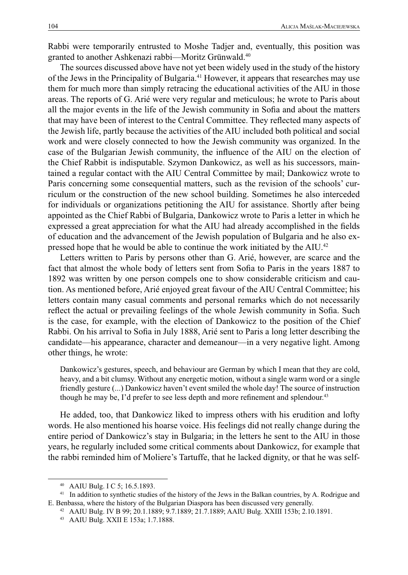Rabbi were temporarily entrusted to Moshe Tadjer and, eventually, this position was granted to another Ashkenazi rabbi—Moritz Grünwald.40

The sources discussed above have not yet been widely used in the study of the history of the Jews in the Principality of Bulgaria.41 However, it appears that researches may use them for much more than simply retracing the educational activities of the AIU in those areas. The reports of G. Arié were very regular and meticulous; he wrote to Paris about all the major events in the life of the Jewish community in Sofia and about the matters that may have been of interest to the Central Committee. They reflected many aspects of the Jewish life, partly because the activities of the AIU included both political and social work and were closely connected to how the Jewish community was organized. In the case of the Bulgarian Jewish community, the influence of the AIU on the election of the Chief Rabbit is indisputable. Szymon Dankowicz, as well as his successors, maintained a regular contact with the AIU Central Committee by mail; Dankowicz wrote to Paris concerning some consequential matters, such as the revision of the schools' curriculum or the construction of the new school building. Sometimes he also interceded for individuals or organizations petitioning the AIU for assistance. Shortly after being appointed as the Chief Rabbi of Bulgaria, Dankowicz wrote to Paris a letter in which he expressed a great appreciation for what the AIU had already accomplished in the fields of education and the advancement of the Jewish population of Bulgaria and he also expressed hope that he would be able to continue the work initiated by the AIU.42

Letters written to Paris by persons other than G. Arié, however, are scarce and the fact that almost the whole body of letters sent from Sofia to Paris in the years 1887 to 1892 was written by one person compels one to show considerable criticism and caution. As mentioned before, Arié enjoyed great favour of the AIU Central Committee; his letters contain many casual comments and personal remarks which do not necessarily reflect the actual or prevailing feelings of the whole Jewish community in Sofia. Such is the case, for example, with the election of Dankowicz to the position of the Chief Rabbi. On his arrival to Sofia in July 1888, Arié sent to Paris a long letter describing the candidate—his appearance, character and demeanour—in a very negative light. Among other things, he wrote:

Dankowicz's gestures, speech, and behaviour are German by which I mean that they are cold, heavy, and a bit clumsy. Without any energetic motion, without a single warm word or a single friendly gesture (...) Dankowicz haven't event smiled the whole day! The source of instruction though he may be, I'd prefer to see less depth and more refinement and splendour.<sup>43</sup>

He added, too, that Dankowicz liked to impress others with his erudition and lofty words. He also mentioned his hoarse voice. His feelings did not really change during the entire period of Dankowicz's stay in Bulgaria; in the letters he sent to the AIU in those years, he regularly included some critical comments about Dankowicz, for example that the rabbi reminded him of Moliere's Tartuffe, that he lacked dignity, or that he was self-

<sup>40</sup> AAIU Bulg. I C 5; 16.5.1893.

<sup>&</sup>lt;sup>41</sup> In addition to synthetic studies of the history of the Jews in the Balkan countries, by A. Rodrigue and E. Benbassa, where the history of the Bulgarian Diaspora has been discussed very generally.

<sup>42</sup> AAIU Bulg. IV B 99; 20.1.1889; 9.7.1889; 21.7.1889; AAIU Bulg. XXIII 153b; 2.10.1891.

<sup>43</sup> AAIU Bulg. XXII E 153a; 1.7.1888.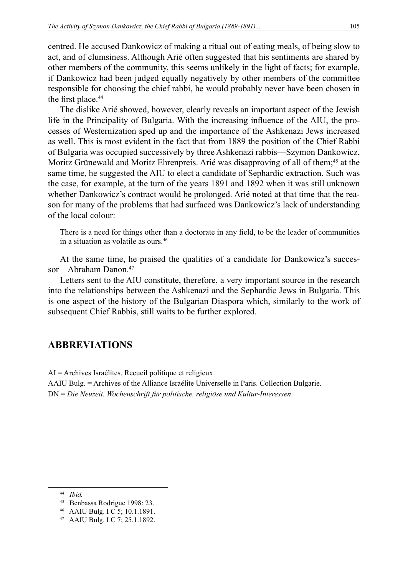centred. He accused Dankowicz of making a ritual out of eating meals, of being slow to act, and of clumsiness. Although Arié often suggested that his sentiments are shared by other members of the community, this seems unlikely in the light of facts; for example, if Dankowicz had been judged equally negatively by other members of the committee responsible for choosing the chief rabbi, he would probably never have been chosen in the first place.<sup>44</sup>

The dislike Arié showed, however, clearly reveals an important aspect of the Jewish life in the Principality of Bulgaria. With the increasing influence of the AIU, the processes of Westernization sped up and the importance of the Ashkenazi Jews increased as well. This is most evident in the fact that from 1889 the position of the Chief Rabbi of Bulgaria was occupied successively by three Ashkenazi rabbis—Szymon Dankowicz, Moritz Grünewald and Moritz Ehrenpreis. Arié was disapproving of all of them;<sup>45</sup> at the same time, he suggested the AIU to elect a candidate of Sephardic extraction. Such was the case, for example, at the turn of the years 1891 and 1892 when it was still unknown whether Dankowicz's contract would be prolonged. Arié noted at that time that the reason for many of the problems that had surfaced was Dankowicz's lack of understanding of the local colour:

There is a need for things other than a doctorate in any field, to be the leader of communities in a situation as volatile as ours.46

At the same time, he praised the qualities of a candidate for Dankowicz's successor-Abraham Danon.<sup>47</sup>

Letters sent to the AIU constitute, therefore, a very important source in the research into the relationships between the Ashkenazi and the Sephardic Jews in Bulgaria. This is one aspect of the history of the Bulgarian Diaspora which, similarly to the work of subsequent Chief Rabbis, still waits to be further explored.

## **ABBREVIATIONS**

AI = Archives Israélites. Recueil politique et religieux.

AAIU Bulg. = Archives of the Alliance Israélite Universelle in Paris. Collection Bulgarie. DN = *Die Neuzeit. Wochenschrift für politische, religiöse und Kultur-Interessen*.

<sup>44</sup> *Ibid.*

<sup>45</sup> Benbassa Rodrigue 1998: 23.

<sup>46</sup> AAIU Bulg. I C 5; 10.1.1891.

<sup>47</sup> AAIU Bulg. I C 7; 25.1.1892.